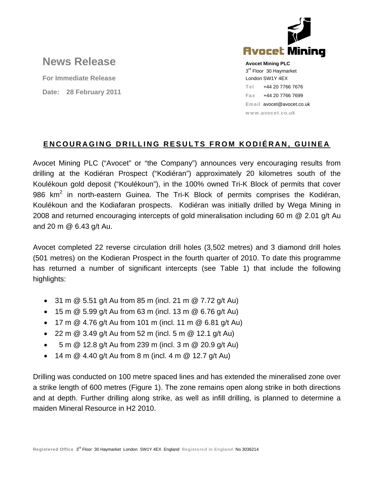

# **News Release**

**For Immediate Release Date: 28 February 2011**

**Avocet Mining PLC**  3<sup>rd</sup> Floor 30 Haymarket London SW1Y 4EX Tel +44 20 7766 7676 Fax +44 20 7766 7699 Email avocet@avocet.co.uk www.avocet.co.uk

# **ENCOURAGING DRILLING RESULTS FROM KODIÉRAN, GUINEA**

Avocet Mining PLC ("Avocet" or "the Company") announces very encouraging results from drilling at the Kodiéran Prospect ("Kodiéran") approximately 20 kilometres south of the Koulékoun gold deposit ("Koulékoun"), in the 100% owned Tri-K Block of permits that cover 986  $km^2$  in north-eastern Guinea. The Tri-K Block of permits comprises the Kodiéran, Koulékoun and the Kodiafaran prospects. Kodiéran was initially drilled by Wega Mining in 2008 and returned encouraging intercepts of gold mineralisation including 60 m @ 2.01 g/t Au and 20 m @ 6.43 g/t Au.

Avocet completed 22 reverse circulation drill holes (3,502 metres) and 3 diamond drill holes (501 metres) on the Kodieran Prospect in the fourth quarter of 2010. To date this programme has returned a number of significant intercepts (see Table 1) that include the following highlights:

- 31 m  $@$  5.51 g/t Au from 85 m (incl. 21 m  $@$  7.72 g/t Au)
- 15 m  $@$  5.99 g/t Au from 63 m (incl. 13 m  $@$  6.76 g/t Au)
- 17 m  $@$  4.76 g/t Au from 101 m (incl. 11 m  $@$  6.81 g/t Au)
- 22 m  $\circledcirc$  3.49 g/t Au from 52 m (incl. 5 m  $\circledcirc$  12.1 g/t Au)
- $5 \text{ m} \text{ } @$  12.8 g/t Au from 239 m (incl. 3 m  $@$  20.9 g/t Au)
- 14 m  $@$  4.40 g/t Au from 8 m (incl. 4 m  $@$  12.7 g/t Au)

Drilling was conducted on 100 metre spaced lines and has extended the mineralised zone over a strike length of 600 metres (Figure 1). The zone remains open along strike in both directions and at depth. Further drilling along strike, as well as infill drilling, is planned to determine a maiden Mineral Resource in H2 2010.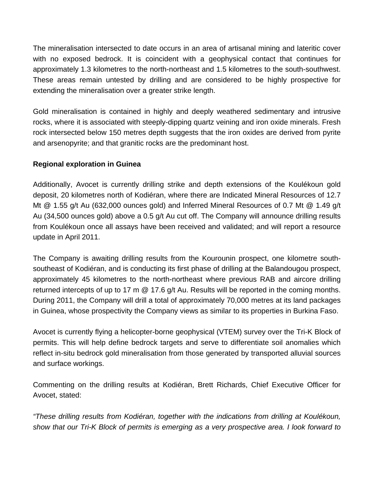The mineralisation intersected to date occurs in an area of artisanal mining and lateritic cover with no exposed bedrock. It is coincident with a geophysical contact that continues for approximately 1.3 kilometres to the north-northeast and 1.5 kilometres to the south-southwest. These areas remain untested by drilling and are considered to be highly prospective for extending the mineralisation over a greater strike length.

Gold mineralisation is contained in highly and deeply weathered sedimentary and intrusive rocks, where it is associated with steeply-dipping quartz veining and iron oxide minerals. Fresh rock intersected below 150 metres depth suggests that the iron oxides are derived from pyrite and arsenopyrite; and that granitic rocks are the predominant host.

# **Regional exploration in Guinea**

Additionally, Avocet is currently drilling strike and depth extensions of the Koulékoun gold deposit, 20 kilometres north of Kodiéran, where there are Indicated Mineral Resources of 12.7 Mt @ 1.55 g/t Au (632,000 ounces gold) and Inferred Mineral Resources of 0.7 Mt @ 1.49 g/t Au (34,500 ounces gold) above a 0.5 g/t Au cut off. The Company will announce drilling results from Koulékoun once all assays have been received and validated; and will report a resource update in April 2011.

The Company is awaiting drilling results from the Kourounin prospect, one kilometre southsoutheast of Kodiéran, and is conducting its first phase of drilling at the Balandougou prospect, approximately 45 kilometres to the north-northeast where previous RAB and aircore drilling returned intercepts of up to 17 m @ 17.6 g/t Au. Results will be reported in the coming months. During 2011, the Company will drill a total of approximately 70,000 metres at its land packages in Guinea, whose prospectivity the Company views as similar to its properties in Burkina Faso.

Avocet is currently flying a helicopter-borne geophysical (VTEM) survey over the Tri-K Block of permits. This will help define bedrock targets and serve to differentiate soil anomalies which reflect in-situ bedrock gold mineralisation from those generated by transported alluvial sources and surface workings.

Commenting on the drilling results at Kodiéran, Brett Richards, Chief Executive Officer for Avocet, stated:

*"These drilling results from Kodiéran, together with the indications from drilling at Koulékoun, show that our Tri-K Block of permits is emerging as a very prospective area. I look forward to*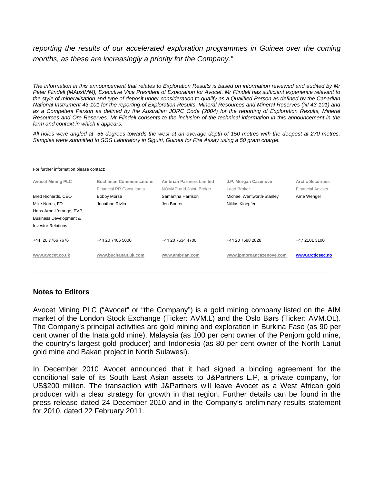# *reporting the results of our accelerated exploration programmes in Guinea over the coming months, as these are increasingly a priority for the Company."*

*The information in this announcement that relates to Exploration Results is based on information reviewed and audited by Mr Peter Flindell (MAusIMM), Executive Vice President of Exploration for Avocet. Mr Flindell has sufficient experience relevant to the style of mineralisation and type of deposit under consideration to qualify as a Qualified Person as defined by the Canadian National Instrument 43-101 for the reporting of Exploration Results, Mineral Resources and Mineral Reserves (NI 43-101) and as a Competent Person as defined by the Australian JORC Code (2004) for the reporting of Exploration Results, Mineral Resources and Ore Reserves. Mr Flindell consents to the inclusion of the technical information in this announcement in the form and context in which it appears.* 

*All holes were angled at -55 degrees towards the west at an average depth of 150 metres with the deepest at 270 metres. Samples were submitted to SGS Laboratory in Siguiri, Guinea for Fire Assay using a 50 gram charge.* 

#### For further information please contact:

| <b>Avocet Mining PLC</b><br>Brett Richards, CEO<br>Mike Norris, FD<br>Hans-Arne L'orange, EVP<br><b>Business Development &amp;</b><br><b>Investor Relations</b> | <b>Buchanan Communications</b><br><b>Financial PR Consultants</b><br><b>Bobby Morse</b><br>Jonathan Rivlin | <b>Ambrian Partners Limited</b><br>NOMAD and Joint Broker<br>Samantha Harrison<br>Jen Boorer | J.P. Morgan Cazenove<br>Lead Broker<br>Michael Wentworth-Stanley<br>Niklas Kloepfer | <b>Arctic Securities</b><br><b>Financial Adviser</b><br>Arne Wenger |
|-----------------------------------------------------------------------------------------------------------------------------------------------------------------|------------------------------------------------------------------------------------------------------------|----------------------------------------------------------------------------------------------|-------------------------------------------------------------------------------------|---------------------------------------------------------------------|
| +44 20 7766 7676                                                                                                                                                | +44 20 7466 5000                                                                                           | +44 20 7634 4700                                                                             | +44 20 7588 2828                                                                    | +47 2101 3100                                                       |
| www.avocet.co.uk                                                                                                                                                | www.buchanan.uk.com                                                                                        | www.ambrian.com                                                                              | www.jpmorgancazenove.com                                                            | www.arcticsec.no                                                    |

### **Notes to Editors**

Avocet Mining PLC ("Avocet" or "the Company") is a gold mining company listed on the AIM market of the London Stock Exchange (Ticker: AVM.L) and the Oslo Børs (Ticker: AVM.OL). The Company's principal activities are gold mining and exploration in Burkina Faso (as 90 per cent owner of the Inata gold mine), Malaysia (as 100 per cent owner of the Penjom gold mine, the country's largest gold producer) and Indonesia (as 80 per cent owner of the North Lanut gold mine and Bakan project in North Sulawesi).

In December 2010 Avocet announced that it had signed a binding agreement for the conditional sale of its South East Asian assets to J&Partners L.P, a private company, for US\$200 million. The transaction with J&Partners will leave Avocet as a West African gold producer with a clear strategy for growth in that region. Further details can be found in the press release dated 24 December 2010 and in the Company's preliminary results statement for 2010, dated 22 February 2011.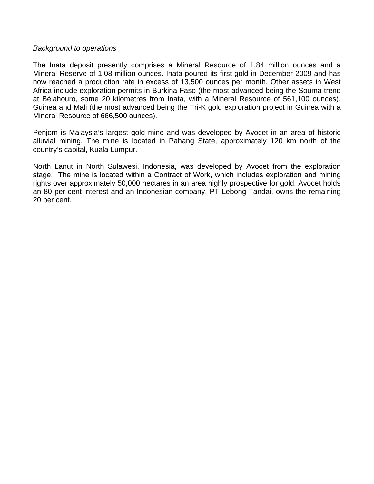### *Background to operations*

The Inata deposit presently comprises a Mineral Resource of 1.84 million ounces and a Mineral Reserve of 1.08 million ounces. Inata poured its first gold in December 2009 and has now reached a production rate in excess of 13,500 ounces per month. Other assets in West Africa include exploration permits in Burkina Faso (the most advanced being the Souma trend at Bélahouro, some 20 kilometres from Inata, with a Mineral Resource of 561,100 ounces), Guinea and Mali (the most advanced being the Tri-K gold exploration project in Guinea with a Mineral Resource of 666,500 ounces).

Penjom is Malaysia's largest gold mine and was developed by Avocet in an area of historic alluvial mining. The mine is located in Pahang State, approximately 120 km north of the country's capital, Kuala Lumpur.

North Lanut in North Sulawesi, Indonesia, was developed by Avocet from the exploration stage. The mine is located within a Contract of Work, which includes exploration and mining rights over approximately 50,000 hectares in an area highly prospective for gold. Avocet holds an 80 per cent interest and an Indonesian company, PT Lebong Tandai, owns the remaining 20 per cent.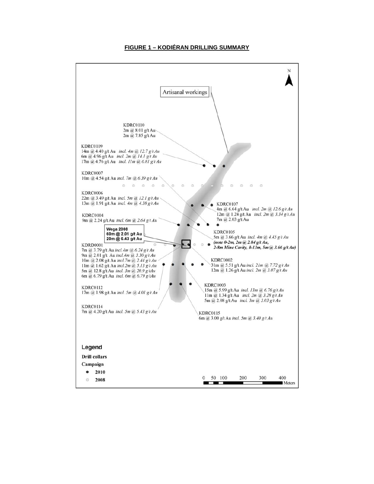

### **FIGURE 1 – KODIÉRAN DRILLING SUMMARY**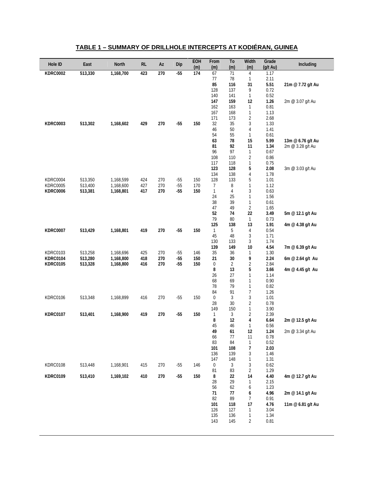| Hole ID         | East    | <b>North</b> | <b>RL</b> | Az  | Dip   | EOH<br>(m) | From<br>(m)  | To<br>(m)       | Width<br>(m)        | Grade<br>(g/t Au) | Including         |
|-----------------|---------|--------------|-----------|-----|-------|------------|--------------|-----------------|---------------------|-------------------|-------------------|
| <b>KDRC0002</b> | 513,330 | 1,168,700    | 423       | 270 | $-55$ | 174        | 67           | $\overline{71}$ | $\overline{4}$      | 1.17              |                   |
|                 |         |              |           |     |       |            | 77           | 78              | 1                   | 2.11              |                   |
|                 |         |              |           |     |       |            | 85           | 116             | 31                  | 5.51              | 21m @ 7.72 g/t Au |
|                 |         |              |           |     |       |            | 128          | 137             | 9                   | 0.72              |                   |
|                 |         |              |           |     |       |            | 140<br>147   | 141<br>159      | $\mathbf{1}$<br>12  | 0.52<br>1.26      |                   |
|                 |         |              |           |     |       |            | 162          | 163             | $\mathbf{1}$        | 0.81              | 2m @ 3.07 g/t Au  |
|                 |         |              |           |     |       |            | 167          | 168             | $\mathbf{1}$        | 1.13              |                   |
|                 |         |              |           |     |       |            | 171          | 173             | $\overline{2}$      | 2.68              |                   |
| <b>KDRC0003</b> | 513,302 | 1,168,602    | 429       | 270 | $-55$ | 150        | 32           | 35              | 3                   | 1.33              |                   |
|                 |         |              |           |     |       |            | 46           | 50              | 4                   | 1.41              |                   |
|                 |         |              |           |     |       |            | 54           | 55              | $\mathbf{1}$        | 0.61              |                   |
|                 |         |              |           |     |       |            | 63           | 78              | 15                  | 5.99              | 13m @ 6.76 g/t Au |
|                 |         |              |           |     |       |            | 81           | 92              | 11                  | 1.34              | 2m @ 3.28 g/t Au  |
|                 |         |              |           |     |       |            | 96           | 97              | $\mathbf{1}$        | 0.67              |                   |
|                 |         |              |           |     |       |            | 108<br>117   | 110<br>118      | $\overline{2}$<br>1 | 0.86<br>0.75      |                   |
|                 |         |              |           |     |       |            | 123          | 128             | 5                   | 2.08              | 3m @ 3.03 g/t Au  |
|                 |         |              |           |     |       |            | 134          | 138             | 4                   | 1.78              |                   |
| KDRC0004        | 513,350 | 1,168,599    | 424       | 270 | $-55$ | 150        | 128          | 133             | 5                   | 1.01              |                   |
| <b>KDRC0005</b> | 513,400 | 1,168,600    | 427       | 270 | $-55$ | 170        | 7            | 8               | 1                   | 1.12              |                   |
| <b>KDRC0006</b> | 513,381 | 1,168,801    | 417       | 270 | $-55$ | 150        | $\mathbf{1}$ | 4               | 3                   | 0.63              |                   |
|                 |         |              |           |     |       |            | 24           | 25              | 1                   | 1.56              |                   |
|                 |         |              |           |     |       |            | 38           | 39              | $\mathbf{1}$        | 0.61              |                   |
|                 |         |              |           |     |       |            | 47           | 49              | $\overline{2}$      | 1.65              |                   |
|                 |         |              |           |     |       |            | 52           | 74              | 22                  | 3.49              | 5m @ 12.1 g/t Au  |
|                 |         |              |           |     |       |            | 79<br>125    | 80<br>138       | $\mathbf{1}$<br>13  | 0.73<br>1.91      | 4m @ 4.38 g/t Au  |
| <b>KDRC0007</b> | 513,429 | 1,168,801    | 419       | 270 | $-55$ | 150        | $\mathbf{1}$ | 5               | 4                   | 0.54              |                   |
|                 |         |              |           |     |       |            | 45           | 48              | $\sqrt{3}$          | 1.71              |                   |
|                 |         |              |           |     |       |            | 130          | 133             | $\sqrt{3}$          | 1.74              |                   |
|                 |         |              |           |     |       |            | 139          | 149             | 10                  | 4.54              | 7m @ 6.39 g/t Au  |
| KDRC0103        | 513,258 | 1,168,696    | 425       | 270 | $-55$ | 146        | 35           | 36              | 1                   | 1.30              |                   |
| <b>KDRC0104</b> | 513,280 | 1,168,800    | 418       | 270 | $-55$ | 150        | 21           | 30              | 9                   | 2.24              | 6m @ 2.64 g/t Au  |
| <b>KDRC0105</b> | 513,328 | 1,168,800    | 416       | 270 | $-55$ | 150        | $\pmb{0}$    | $\overline{2}$  | $\overline{2}$      | 2.84              |                   |
|                 |         |              |           |     |       |            | 8<br>26      | 13<br>27        | 5<br>$\mathbf{1}$   | 3.66<br>1.14      | 4m @ 4.45 g/t Au  |
|                 |         |              |           |     |       |            | 68           | 69              | 1                   | 0.90              |                   |
|                 |         |              |           |     |       |            | 78           | 79              | $\mathbf{1}$        | 0.82              |                   |
|                 |         |              |           |     |       |            | 84           | 91              | 7                   | 1.26              |                   |
| KDRC0106        | 513,348 | 1,168,899    | 416       | 270 | $-55$ | 150        | $\pmb{0}$    | 3               | $\sqrt{3}$          | 1.01              |                   |
|                 |         |              |           |     |       |            | 28           | 30              | $\overline{c}$      | 0.78              |                   |
|                 |         |              |           |     |       |            | 149          | 150             | $\mathbf{1}$        | 3.90              |                   |
| <b>KDRC0107</b> | 513,401 | 1,168,900    | 419       | 270 | $-55$ | 150        | $\mathbf{1}$ | 3               | $\overline{2}$      | 2.39              |                   |
|                 |         |              |           |     |       |            | 8            | 12              | 4                   | 6.64              | 2m @ 12.5 g/t Au  |
|                 |         |              |           |     |       |            | 45           | 46              | 1                   | 0.56              | 2m @ 3.34 g/t Au  |
|                 |         |              |           |     |       |            | 49<br>66     | 61<br>$77$      | 12<br>11            | 1.24<br>0.78      |                   |
|                 |         |              |           |     |       |            | 83           | 84              | $\mathbf{1}$        | 0.52              |                   |
|                 |         |              |           |     |       |            | 101          | 108             | 7                   | 2.03              |                   |
|                 |         |              |           |     |       |            | 136          | 139             | 3                   | 1.46              |                   |
|                 |         |              |           |     |       |            | 147          | 148             | $\mathbf{1}$        | 1.31              |                   |
| KDRC0108        | 513,448 | 1,168,901    | 415       | 270 | $-55$ | 146        | 0            | 3               | 3                   | 0.62              |                   |
|                 |         |              |           |     |       |            | 81           | 83              | $\sqrt{2}$          | 1.29              |                   |
| <b>KDRC0109</b> | 513,410 | 1,169,102    | 410       | 270 | $-55$ | 150        | 8<br>28      | 22<br>29        | 14<br>1             | 4.40<br>2.15      | 4m @ 12.7 g/t Au  |
|                 |         |              |           |     |       |            | 56           | 62              | 6                   | 1.23              |                   |
|                 |         |              |           |     |       |            | 71           | 77              | 6                   | 4.96              | 2m @ 14.1 g/t Au  |
|                 |         |              |           |     |       |            | 82           | 89              | 7                   | 0.91              |                   |
|                 |         |              |           |     |       |            | 101          | 118             | 17                  | 4.76              | 11m @ 6.81 g/t Au |
|                 |         |              |           |     |       |            | 126          | 127             | 1                   | 3.04              |                   |
|                 |         |              |           |     |       |            | 135          | 136             | 1                   | 1.34              |                   |
|                 |         |              |           |     |       |            | 143          | 145             | $\overline{2}$      | 0.81              |                   |
|                 |         |              |           |     |       |            |              |                 |                     |                   |                   |

### **TABLE 1 – SUMMARY OF DRILLHOLE INTERCEPTS AT KODIÉRAN, GUINEA**